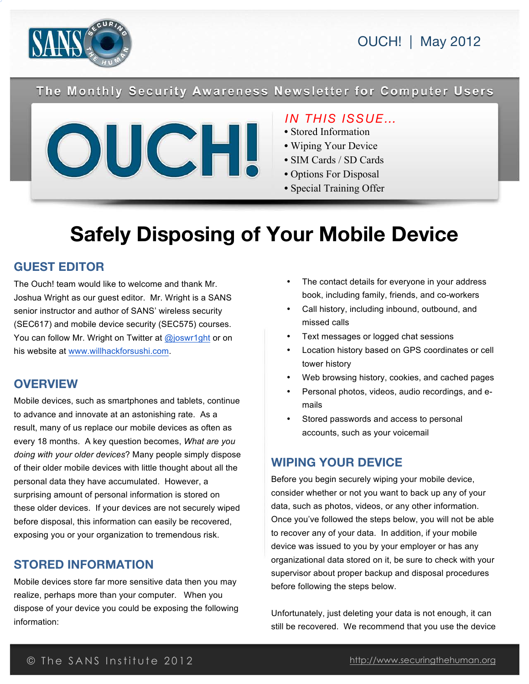



The Monthly Security Awareness Newsletter for Computer Users



# *IN THIS ISSUE…*

- Stored Information
- Wiping Your Device
- SIM Cards / SD Cards
- Options For Disposal
- Special Training Offer

# **Safely Disposing of Your Mobile Device**

## **GUEST EDITOR**

The Ouch! team would like to welcome and thank Mr. Joshua Wright as our guest editor. Mr. Wright is a SANS senior instructor and author of SANS' wireless security (SEC617) and mobile device security (SEC575) courses. You can follow Mr. Wright on Twitter at @joswr1ght or on his website at www.willhackforsushi.com.

# **OVERVIEW**

Mobile devices, such as smartphones and tablets, continue to advance and innovate at an astonishing rate. As a result, many of us replace our mobile devices as often as every 18 months. A key question becomes, *What are you doing with your older devices*? Many people simply dispose of their older mobile devices with little thought about all the personal data they have accumulated. However, a surprising amount of personal information is stored on these older devices. If your devices are not securely wiped before disposal, this information can easily be recovered, exposing you or your organization to tremendous risk.

#### **STORED INFORMATION**

Mobile devices store far more sensitive data then you may realize, perhaps more than your computer. When you dispose of your device you could be exposing the following information:

- The contact details for everyone in your address book, including family, friends, and co-workers
- Call history, including inbound, outbound, and missed calls
- Text messages or logged chat sessions
- Location history based on GPS coordinates or cell tower history
- Web browsing history, cookies, and cached pages
- Personal photos, videos, audio recordings, and emails
- Stored passwords and access to personal accounts, such as your voicemail

# **WIPING YOUR DEVICE**

Before you begin securely wiping your mobile device, consider whether or not you want to back up any of your data, such as photos, videos, or any other information. Once you've followed the steps below, you will not be able to recover any of your data. In addition, if your mobile device was issued to you by your employer or has any organizational data stored on it, be sure to check with your supervisor about proper backup and disposal procedures before following the steps below.

Unfortunately, just deleting your data is not enough, it can still be recovered. We recommend that you use the device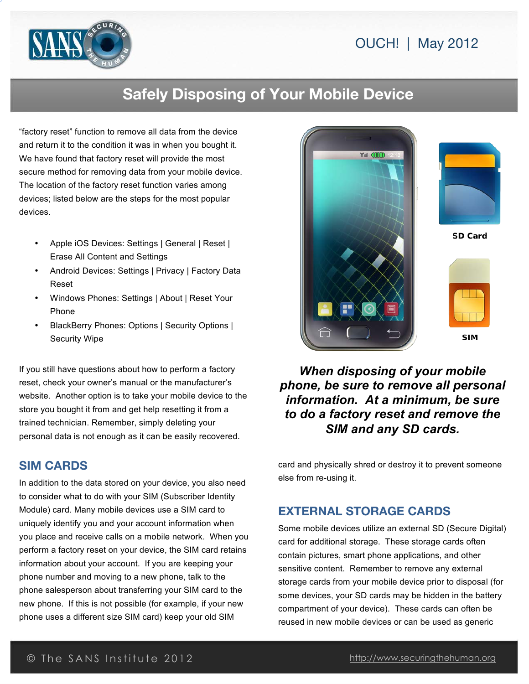

# **Safely Disposing of Your Mobile Device**

"factory reset" function to remove all data from the device and return it to the condition it was in when you bought it. We have found that factory reset will provide the most secure method for removing data from your mobile device. The location of the factory reset function varies among devices; listed below are the steps for the most popular devices.

- Apple iOS Devices: Settings | General | Reset | Erase All Content and Settings
- Android Devices: Settings | Privacy | Factory Data Reset
- Windows Phones: Settings | About | Reset Your Phone
- BlackBerry Phones: Options | Security Options | Security Wipe

If you still have questions about how to perform a factory reset, check your owner's manual or the manufacturer's website. Another option is to take your mobile device to the store you bought it from and get help resetting it from a trained technician. Remember, simply deleting your personal data is not enough as it can be easily recovered.

# **SIM CARDS**

In addition to the data stored on your device, you also need to consider what to do with your SIM (Subscriber Identity Module) card. Many mobile devices use a SIM card to uniquely identify you and your account information when you place and receive calls on a mobile network. When you perform a factory reset on your device, the SIM card retains information about your account. If you are keeping your phone number and moving to a new phone, talk to the phone salesperson about transferring your SIM card to the new phone. If this is not possible (for example, if your new phone uses a different size SIM card) keep your old SIM



# *When disposing of your mobile phone, be sure to remove all personal information. At a minimum, be sure to do a factory reset and remove the SIM and any SD cards.*

card and physically shred or destroy it to prevent someone else from re-using it.

#### **EXTERNAL STORAGE CARDS**

Some mobile devices utilize an external SD (Secure Digital) card for additional storage. These storage cards often contain pictures, smart phone applications, and other sensitive content. Remember to remove any external storage cards from your mobile device prior to disposal (for some devices, your SD cards may be hidden in the battery compartment of your device). These cards can often be reused in new mobile devices or can be used as generic